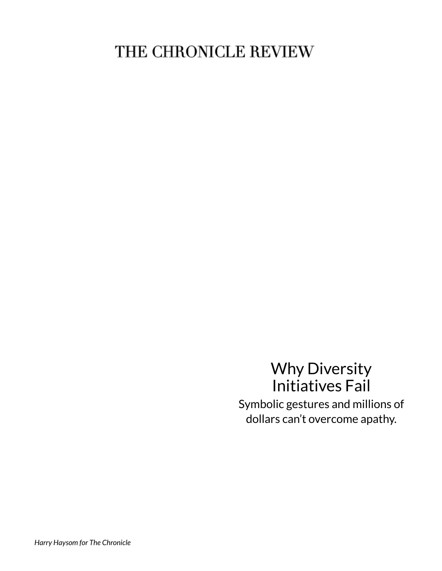# THE CHRONICLE REVIEW

## Why Diversity Initiatives Fail Symbolic gestures and millions of dollars can't overcome apathy.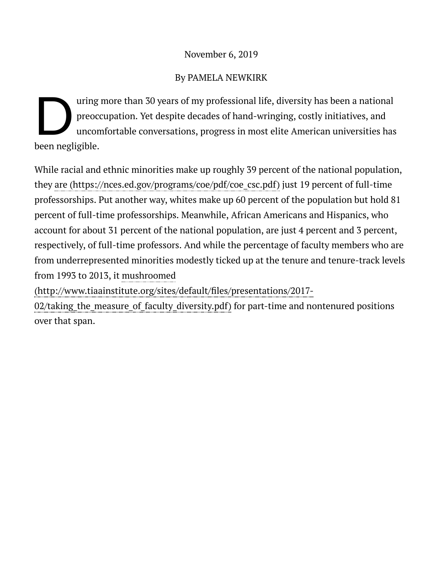#### November 6, 2019

#### By PAMELA NEWKIRK

D pre uring more than 30 years of my professional life, diversity has been a national preoccupation. Yet despite decades of hand-wringing, costly initiatives, and uncomfortable conversations, progress in most elite American universities has been negligible.

While racial and ethnic minorities make up roughly 39 percent of the national population, they are [\(https://nces.ed.gov/programs/coe/pdf/coe\\_csc.pdf\)](https://nces.ed.gov/programs/coe/pdf/coe_csc.pdf) just 19 percent of full-time professorships. Put another way, whites make up 60 percent of the population but hold 81 percent of full-time professorships. Meanwhile, African Americans and Hispanics, who account for about 31 percent of the national population, are just 4 percent and 3 percent, respectively, of full-time professors. And while the percentage of faculty members who are from underrepresented minorities modestly ticked up at the tenure and tenure-track levels from 1993 to 2013, it mushroomed

(http://www.tiaainstitute.org/sites/default/files/presentations/2017-

02/taking\_the\_measure\_of\_faculty\_diversity.pdf) for part-time and nontenured positions over that span.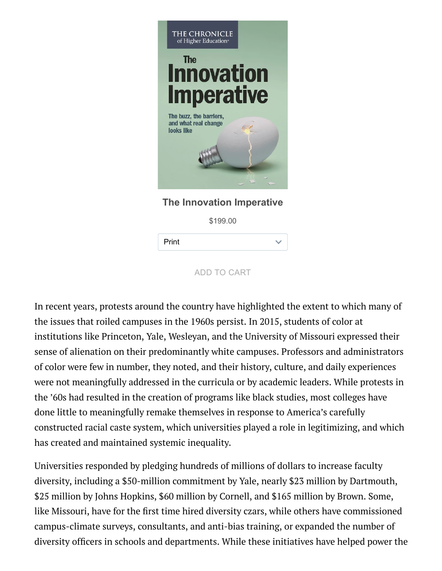

**The Innovation Imperative**

\$199.00

Print

ADD TO CART

In recent years, protests around the country have highlighted the extent to which many of the issues that roiled campuses in the 1960s persist. In 2015, students of color at institutions like Princeton, Yale, Wesleyan, and the University of Missouri expressed their sense of alienation on their predominantly white campuses. Professors and administrators of color were few in number, they noted, and their history, culture, and daily experiences were not meaningfully addressed in the curricula or by academic leaders. While protests in the '60s had resulted in the creation of programs like black studies, most colleges have done little to meaningfully remake themselves in response to America's carefully constructed racial caste system, which universities played a role in legitimizing, and which has created and maintained systemic inequality.

Universities responded by pledging hundreds of millions of dollars to increase faculty diversity, including a \$50-million commitment by Yale, nearly \$23 million by Dartmouth, \$25 million by Johns Hopkins, \$60 million by Cornell, and \$165 million by Brown. Some, like Missouri, have for the first time hired diversity czars, while others have commissioned campus-climate surveys, consultants, and anti-bias training, or expanded the number of diversity officers in schools and departments. While these initiatives have helped power the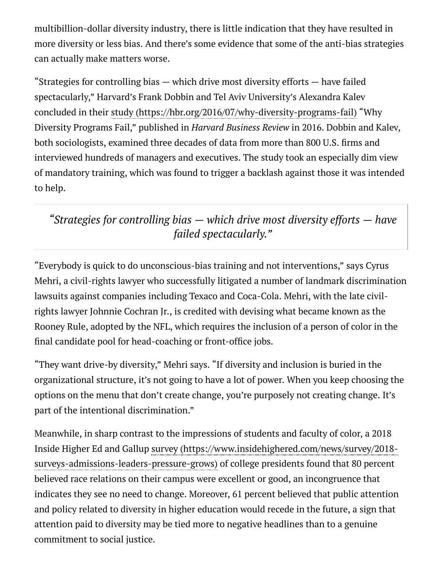multibillion-dollar diversity industry, there is little indication that they have resulted in more diversity or less bias. And there's some evidence that some of the anti-bias strategies can actually make matters worse.

"Strategies for controlling bias — which drive most diversity efforts — have failed spectacularly," Harvard's Frank Dobbin and Tel Aviv University's Alexandra Kalev concluded in their study [\(https://hbr.org/2016/07/why-diversity-programs-fail\)](https://hbr.org/2016/07/why-diversity-programs-fail) "Why Diversity Programs Fail," published in *Harvard Business Review* in 2016. Dobbin and Kalev, both sociologists, examined three decades of data from more than 800 U.S. firms and interviewed hundreds of managers and executives. The study took an especially dim view of mandatory training, which was found to trigger a backlash against those it was intended to help.

*"Strategies for controlling bias — which drive most diversity efforts — have failed spectacularly."*

"Everybody is quick to do unconscious-bias training and not interventions," says Cyrus Mehri, a civil-rights lawyer who successfully litigated a number of landmark discrimination lawsuits against companies including Texaco and Coca-Cola. Mehri, with the late civilrights lawyer Johnnie Cochran Jr., is credited with devising what became known as the Rooney Rule, adopted by the NFL, which requires the inclusion of a person of color in the final candidate pool for head-coaching or front-office jobs.

"They want drive-by diversity," Mehri says. "If diversity and inclusion is buried in the organizational structure, it's not going to have a lot of power. When you keep choosing the options on the menu that don't create change, you're purposely not creating change. It's part of the intentional discrimination."

Meanwhile, in sharp contrast to the impressions of students and faculty of color, a 2018 Inside Higher Ed and Gallup survey [\(https://www.insidehighered.com/news/survey/2018](https://www.insidehighered.com/news/survey/2018-surveys-admissions-leaders-pressure-grows) surveys-admissions-leaders-pressure-grows) of college presidents found that 80 percent believed race relations on their campus were excellent or good, an incongruence that indicates they see no need to change. Moreover, 61 percent believed that public attention and policy related to diversity in higher education would recede in the future, a sign that attention paid to diversity may be tied more to negative headlines than to a genuine commitment to social justice.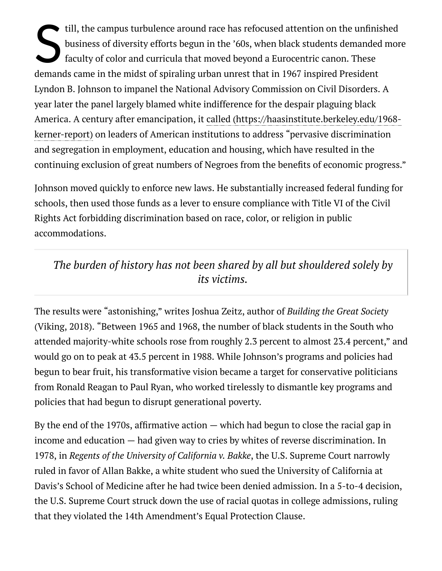S in till, the campus turbulence around race has refocused attention on the unfinished business of diversity efforts begun in the '60s, when black students demanded more faculty of color and curricula that moved beyond a Eurocentric canon. These demands came in the midst of spiraling urban unrest that in 1967 inspired President Lyndon B. Johnson to impanel the National Advisory Commission on Civil Disorders. A year later the panel largely blamed white indifference for the despair plaguing black America. A century after emancipation, it called [\(https://haasinstitute.berkeley.edu/1968](https://haasinstitute.berkeley.edu/1968-kerner-report) kerner-report) on leaders of American institutions to address "pervasive discrimination and segregation in employment, education and housing, which have resulted in the continuing exclusion of great numbers of Negroes from the benefits of economic progress."

Johnson moved quickly to enforce new laws. He substantially increased federal funding for schools, then used those funds as a lever to ensure compliance with Title VI of the Civil Rights Act forbidding discrimination based on race, color, or religion in public accommodations.

*The burden of history has not been shared by all but shouldered solely by its victims.*

The results were "astonishing," writes Joshua Zeitz, author of *Building the Great Society* (Viking, 2018). "Between 1965 and 1968, the number of black students in the South who attended majority-white schools rose from roughly 2.3 percent to almost 23.4 percent," and would go on to peak at 43.5 percent in 1988. While Johnson's programs and policies had begun to bear fruit, his transformative vision became a target for conservative politicians from Ronald Reagan to Paul Ryan, who worked tirelessly to dismantle key programs and policies that had begun to disrupt generational poverty.

By the end of the 1970s, affirmative action  $-$  which had begun to close the racial gap in income and education — had given way to cries by whites of reverse discrimination. In 1978, in Regents of the University of California v. Bakke, the U.S. Supreme Court narrowly ruled in favor of Allan Bakke, a white student who sued the University of California at Davis's School of Medicine after he had twice been denied admission. In a 5-to-4 decision, the U.S. Supreme Court struck down the use of racial quotas in college admissions, ruling that they violated the 14th Amendment's Equal Protection Clause.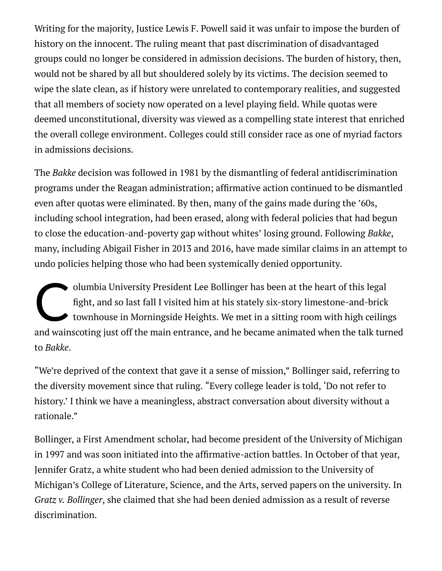Writing for the majority, Justice Lewis F. Powell said it was unfair to impose the burden of history on the innocent. The ruling meant that past discrimination of disadvantaged groups could no longer be considered in admission decisions. The burden of history, then, would not be shared by all but shouldered solely by its victims. The decision seemed to wipe the slate clean, as if history were unrelated to contemporary realities, and suggested that all members of society now operated on a level playing field. While quotas were deemed unconstitutional, diversity was viewed as a compelling state interest that enriched the overall college environment. Colleges could still consider race as one of myriad factors in admissions decisions.

The *Bakke* decision was followed in 1981 by the dismantling of federal antidiscrimination programs under the Reagan administration; affirmative action continued to be dismantled even after quotas were eliminated. By then, many of the gains made during the '60s, including school integration, had been erased, along with federal policies that had begun to close the education-and-poverty gap without whites' losing ground. Following *Bakke*, many, including Abigail Fisher in 2013 and 2016, have made similar claims in an attempt to undo policies helping those who had been systemically denied opportunity.

Old fig olumbia University President Lee Bollinger has been at the heart of this legal ght, and so last fall I visited him at his stately six-story limestone-and-brick townhouse in Morningside Heights. We met in a sitting room with high ceilings and wainscoting just off the main entrance, and he became animated when the talk turned to *Bakke*.

"We're deprived of the context that gave it a sense of mission," Bollinger said, referring to the diversity movement since that ruling. "Every college leader is told, 'Do not refer to history.' I think we have a meaningless, abstract conversation about diversity without a rationale."

Bollinger, a First Amendment scholar, had become president of the University of Michigan in 1997 and was soon initiated into the affirmative-action battles. In October of that year, Jennifer Gratz, a white student who had been denied admission to the University of Michigan's College of Literature, Science, and the Arts, served papers on the university. In *Gratz v. Bollinger, she claimed that she had been denied admission as a result of reverse* discrimination.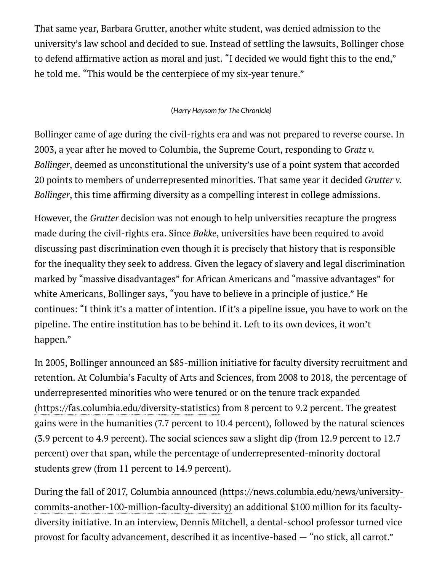That same year, Barbara Grutter, another white student, was denied admission to the university's law school and decided to sue. Instead of settling the lawsuits, Bollinger chose to defend affirmative action as moral and just. "I decided we would fight this to the end," he told me. "This would be the centerpiece of my six-year tenure."

#### (*Harry Haysom for The Chronicle)*

Bollinger came of age during the civil-rights era and was not prepared to reverse course. In 2003, a year after he moved to Columbia, the Supreme Court, responding to *Gratz v.* , deemed as unconstitutional the university's use of a point system that accorded *Bollinger* 20 points to members of underrepresented minorities. That same year it decided *Grutter v.* Bollinger, this time affirming diversity as a compelling interest in college admissions.

However, the *Grutter* decision was not enough to help universities recapture the progress made during the civil-rights era. Since *Bakke*, universities have been required to avoid discussing past discrimination even though it is precisely that history that is responsible for the inequality they seek to address. Given the legacy of slavery and legal discrimination marked by "massive disadvantages" for African Americans and "massive advantages" for white Americans, Bollinger says, "you have to believe in a principle of justice." He continues: "I think it's a matter of intention. If it's a pipeline issue, you have to work on the pipeline. The entire institution has to be behind it. Left to its own devices, it won't happen."

In 2005, Bollinger announced an \$85-million initiative for faculty diversity recruitment and retention. At Columbia's Faculty of Arts and Sciences, from 2008 to 2018, the percentage of underrepresented minorities who were tenured or on the tenure track expanded [\(https://fas.columbia.edu/diversity-statistics\)](https://fas.columbia.edu/diversity-statistics) from 8 percent to 9.2 percent. The greatest gains were in the humanities (7.7 percent to 10.4 percent), followed by the natural sciences (3.9 percent to 4.9 percent). The social sciences saw a slight dip (from 12.9 percent to 12.7 percent) over that span, while the percentage of underrepresented-minority doctoral students grew (from 11 percent to 14.9 percent).

During the fall of 2017, Columbia announced (https://news.columbia.edu/news/university[commits-another-100-million-faculty-diversity\)](https://news.columbia.edu/news/university-commits-another-100-million-faculty-diversity) an additional \$100 million for its facultydiversity initiative. In an interview, Dennis Mitchell, a dental-school professor turned vice provost for faculty advancement, described it as incentive-based — "no stick, all carrot."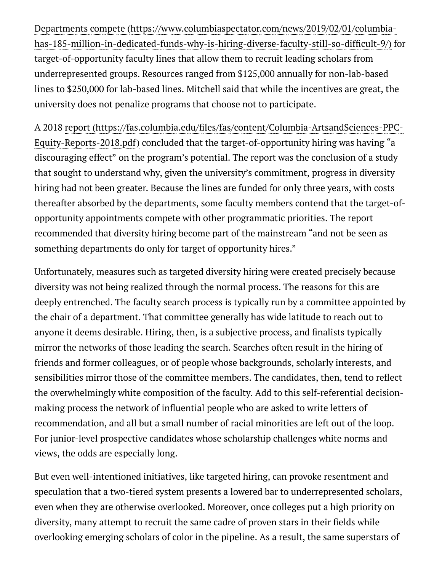has-185-million-in-dedicated-funds-why-is-hiring-diverse-faculty-still-so-difficult-9/) for target-of-opportunity faculty lines that allow them to recruit leading scholars from underrepresented groups. Resources ranged from \$125,000 annually for non-lab-based lines to \$250,000 for lab-based lines. Mitchell said that while the incentives are great, the university does not penalize programs that choose not to participate. Departments compete (https://www.columbiaspectator.com/news/2019/02/01/columbia-

A 2018 report (https://fas.columbia.edu/files/fas/content/Columbia-ArtsandSciences-PPC-Equity-Reports-2018.pdf) concluded that the target-of-opportunity hiring was having "a discouraging effect" on the program's potential. The report was the conclusion of a study that sought to understand why, given the university's commitment, progress in diversity hiring had not been greater. Because the lines are funded for only three years, with costs thereafter absorbed by the departments, some faculty members contend that the target-ofopportunity appointments compete with other programmatic priorities. The report recommended that diversity hiring become part of the mainstream "and not be seen as something departments do only for target of opportunity hires."

Unfortunately, measures such as targeted diversity hiring were created precisely because diversity was not being realized through the normal process. The reasons for this are deeply entrenched. The faculty search process is typically run by a committee appointed by the chair of a department. That committee generally has wide latitude to reach out to anyone it deems desirable. Hiring, then, is a subjective process, and finalists typically mirror the networks of those leading the search. Searches often result in the hiring of friends and former colleagues, or of people whose backgrounds, scholarly interests, and sensibilities mirror those of the committee members. The candidates, then, tend to reflect the overwhelmingly white composition of the faculty. Add to this self-referential decisionmaking process the network of influential people who are asked to write letters of recommendation, and all but a small number of racial minorities are left out of the loop. For junior-level prospective candidates whose scholarship challenges white norms and views, the odds are especially long.

But even well-intentioned initiatives, like targeted hiring, can provoke resentment and speculation that a two-tiered system presents a lowered bar to underrepresented scholars, even when they are otherwise overlooked. Moreover, once colleges put a high priority on diversity, many attempt to recruit the same cadre of proven stars in their fields while overlooking emerging scholars of color in the pipeline. As a result, the same superstars of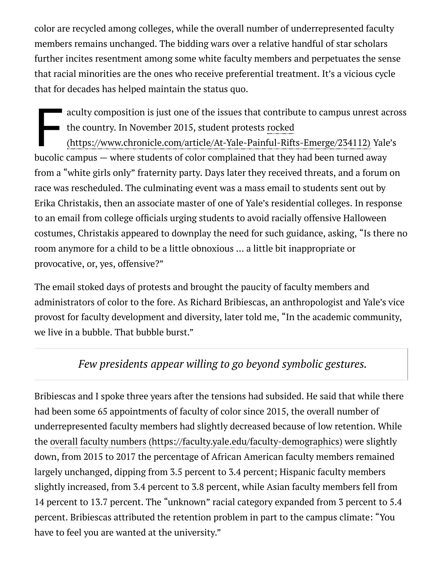color are recycled among colleges, while the overall number of underrepresented faculty members remains unchanged. The bidding wars over a relative handful of star scholars further incites resentment among some white faculty members and perpetuates the sense that racial minorities are the ones who receive preferential treatment. It's a vicious cycle that for decades has helped maintain the status quo.

ack the distribution of the distribution of the distribution of the set of the distribution of the distribution of the distribution of the distribution of the distribution of the distribution of the distribution of the dis aculty composition is just one of the issues that contribute to campus unrest across the country. In November 2015, student protests rocked

[\(https://www.chronicle.com/article/At-Yale-Painful-Rifts-Emerge/234112\)](https://www.chronicle.com/article/At-Yale-Painful-Rifts-Emerge/234112) Yale's bucolic campus — where students of color complained that they had been turned away from a "white girls only" fraternity party. Days later they received threats, and a forum on race was rescheduled. The culminating event was a mass email to students sent out by Erika Christakis, then an associate master of one of Yale's residential colleges. In response to an email from college officials urging students to avoid racially offensive Halloween costumes, Christakis appeared to downplay the need for such guidance, asking, "Is there no room anymore for a child to be a little obnoxious … a little bit inappropriate or provocative, or, yes, offensive?"

The email stoked days of protests and brought the paucity of faculty members and administrators of color to the fore. As Richard Bribiescas, an anthropologist and Yale's vice provost for faculty development and diversity, later told me, "In the academic community, we live in a bubble. That bubble burst."

### *Few presidents appear willing to go beyond symbolic gestures.*

Bribiescas and I spoke three years after the tensions had subsided. He said that while there had been some 65 appointments of faculty of color since 2015, the overall number of underrepresented faculty members had slightly decreased because of low retention. While the overall faculty numbers [\(https://faculty.yale.edu/faculty-demographics\)](https://faculty.yale.edu/faculty-demographics) were slightly down, from 2015 to 2017 the percentage of African American faculty members remained largely unchanged, dipping from 3.5 percent to 3.4 percent; Hispanic faculty members slightly increased, from 3.4 percent to 3.8 percent, while Asian faculty members fell from 14 percent to 13.7 percent. The "unknown" racial category expanded from 3 percent to 5.4 percent. Bribiescas attributed the retention problem in part to the campus climate: "You have to feel you are wanted at the university."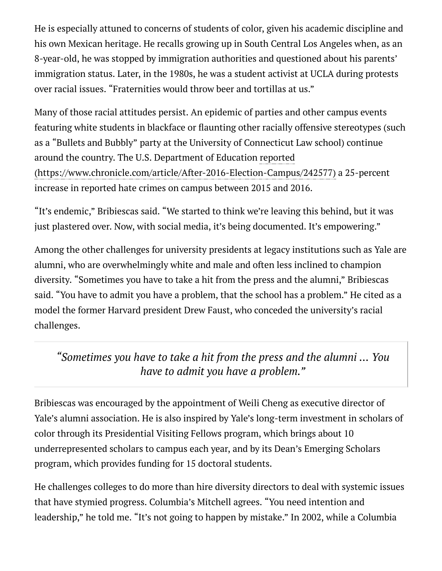He is especially attuned to concerns of students of color, given his academic discipline and his own Mexican heritage. He recalls growing up in South Central Los Angeles when, as an 8-year-old, he was stopped by immigration authorities and questioned about his parents' immigration status. Later, in the 1980s, he was a student activist at UCLA during protests over racial issues. "Fraternities would throw beer and tortillas at us."

Many of those racial attitudes persist. An epidemic of parties and other campus events featuring white students in blackface or flaunting other racially offensive stereotypes (such as a "Bullets and Bubbly" party at the University of Connecticut Law school) continue around the country. The U.S. Department of Education reported [\(https://www.chronicle.com/article/After-2016-Election-Campus/242577\)](https://www.chronicle.com/article/After-2016-Election-Campus/242577) a 25-percent increase in reported hate crimes on campus between 2015 and 2016.

"It's endemic," Bribiescas said. "We started to think we're leaving this behind, but it was just plastered over. Now, with social media, it's being documented. It's empowering."

Among the other challenges for university presidents at legacy institutions such as Yale are alumni, who are overwhelmingly white and male and often less inclined to champion diversity. "Sometimes you have to take a hit from the press and the alumni," Bribiescas said. "You have to admit you have a problem, that the school has a problem." He cited as a model the former Harvard president Drew Faust, who conceded the university's racial challenges.

*"Sometimes you have to take a hit from the press and the alumni ... You have to admit you have a problem."*

Bribiescas was encouraged by the appointment of Weili Cheng as executive director of Yale's alumni association. He is also inspired by Yale's long-term investment in scholars of color through its Presidential Visiting Fellows program, which brings about 10 underrepresented scholars to campus each year, and by its Dean's Emerging Scholars program, which provides funding for 15 doctoral students.

He challenges colleges to do more than hire diversity directors to deal with systemic issues that have stymied progress. Columbia's Mitchell agrees. "You need intention and leadership," he told me. "It's not going to happen by mistake." In 2002, while a Columbia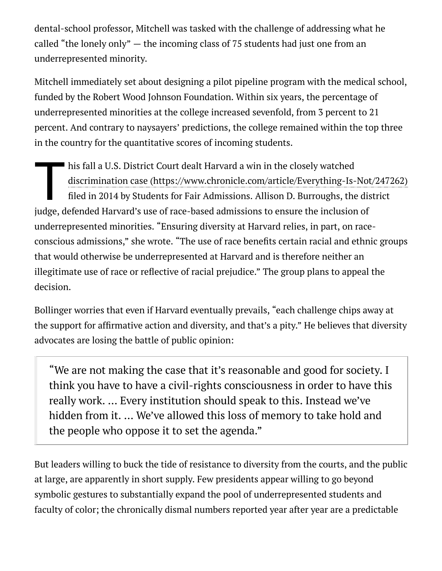dental-school professor, Mitchell was tasked with the challenge of addressing what he called "the lonely only" — the incoming class of 75 students had just one from an underrepresented minority.

Mitchell immediately set about designing a pilot pipeline program with the medical school, funded by the Robert Wood Johnson Foundation. Within six years, the percentage of underrepresented minorities at the college increased sevenfold, from 3 percent to 21 percent. And contrary to naysayers' predictions, the college remained within the top three in the country for the quantitative scores of incoming students.

 $\begin{array}{c}\n\hline\n\text{hi} \\
\text{di} \\
\text{fil}\n\end{array}$ his fall a U.S. District Court dealt Harvard a win in the closely watched filed in 2014 by Students for Fair Admissions. Allison D. Burroughs, the district judge, defended Harvard's use of race-based admissions to ensure the inclusion of underrepresented minorities. "Ensuring diversity at Harvard relies, in part, on raceconscious admissions," she wrote. "The use of race benefits certain racial and ethnic groups that would otherwise be underrepresented at Harvard and is therefore neither an illegitimate use of race or reflective of racial prejudice." The group plans to appeal the decision. discrimination case [\(https://www.chronicle.com/article/Everything-Is-Not/247262\)](https://www.chronicle.com/article/Everything-Is-Not/247262)

Bollinger worries that even if Harvard eventually prevails, "each challenge chips away at the support for affirmative action and diversity, and that's a pity." He believes that diversity advocates are losing the battle of public opinion:

"We are not making the case that it's reasonable and good for society. I think you have to have a civil-rights consciousness in order to have this really work. … Every institution should speak to this. Instead we've hidden from it. … We've allowed this loss of memory to take hold and the people who oppose it to set the agenda."

But leaders willing to buck the tide of resistance to diversity from the courts, and the public at large, are apparently in short supply. Few presidents appear willing to go beyond symbolic gestures to substantially expand the pool of underrepresented students and faculty of color; the chronically dismal numbers reported year after year are a predictable